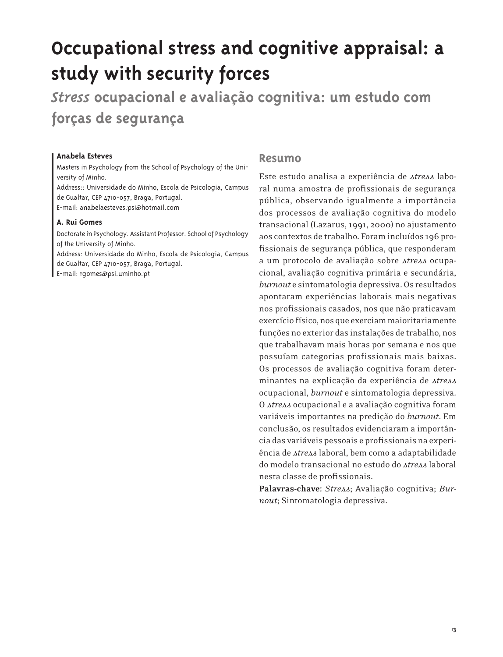# **Occupational stress and cognitive appraisal: a study with security forces**

*Stress* **ocupacional e avaliação cognitiva: um estudo com forças de segurança**

#### **Anabela Esteves**

Masters in Psychology from the School of Psychology of the University of Minho.

Address:: Universidade do Minho, Escola de Psicologia, Campus de Gualtar, CEP 4710-057, Braga, Portugal.

E-mail: anabelaesteves.psi@hotmail.com

#### **A. Rui Gomes**

Doctorate in Psychology. Assistant Professor. School of Psychology of the University of Minho.

Address: Universidade do Minho, Escola de Psicologia, Campus de Gualtar, CEP 4710-057, Braga, Portugal.

E-mail: rgomes@psi.uminho.pt

#### **Resumo**

Este estudo analisa a experiência de *stress* laboral numa amostra de profissionais de segurança pública, observando igualmente a importância dos processos de avaliação cognitiva do modelo transacional (Lazarus, 1991, 2000) no ajustamento aos contextos de trabalho. Foram incluídos 196 profissionais de segurança pública, que responderam a um protocolo de avaliação sobre *stress* ocupacional, avaliação cognitiva primária e secundária, *burnout* e sintomatologia depressiva.Os resultados apontaram experiências laborais mais negativas nos profissionais casados, nos que não praticavam exercício físico, nos que exerciam maioritariamente funções no exterior das instalações de trabalho, nos que trabalhavam mais horas por semana e nos que possuíam categorias profissionais mais baixas. Os processos de avaliação cognitiva foram determinantes na explicação da experiência de *stress* ocupacional, *burnout* e sintomatologia depressiva. O *stress* ocupacional e a avaliação cognitiva foram variáveis importantes na predição do *burnout*. Em conclusão, os resultados evidenciaram a importância das variáveis pessoais e profissionais na experiência de *stress* laboral, bem como a adaptabilidade do modelo transacional no estudo do *stress* laboral nesta classe de profissionais.

Palavras-chave: *Stress*; Avaliação cognitiva; *Burnout*; Sintomatologia depressiva.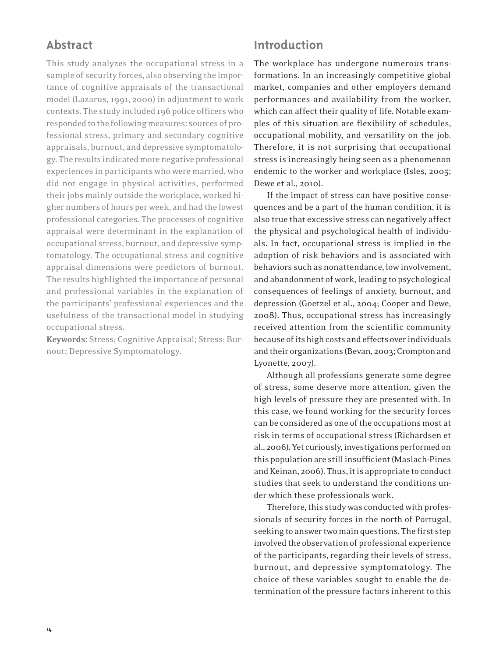# **Abstract**

This study analyzes the occupational stress in a sample of security forces, also observing the importance of cognitive appraisals of the transactional model (Lazarus, 1991, 2000) in adjustment to work contexts. The study included 196 police officers who responded to the following measures: sources of professional stress, primary and secondary cognitive appraisals, burnout, and depressive symptomatology. The results indicated more negative professional experiences in participants who were married, who did not engage in physical activities, performed their jobs mainly outside the workplace, worked higher numbers of hours per week, and had the lowest professional categories. The processes of cognitive appraisal were determinant in the explanation of occupational stress, burnout, and depressive symptomatology. The occupational stress and cognitive appraisal dimensions were predictors of burnout. The results highlighted the importance of personal and professional variables in the explanation of the participants' professional experiences and the usefulness of the transactional model in studying occupational stress.

Keywords: Stress; Cognitive Appraisal; Stress; Burnout; Depressive Symptomatology.

## **Introduction**

The workplace has undergone numerous transformations. In an increasingly competitive global market, companies and other employers demand performances and availability from the worker, which can affect their quality of life. Notable examples of this situation are flexibility of schedules, occupational mobility, and versatility on the job. Therefore, it is not surprising that occupational stress is increasingly being seen as a phenomenon endemic to the worker and workplace (Isles, 2005; Dewe et al., 2010).

If the impact of stress can have positive consequences and be a part of the human condition, it is also true that excessive stress can negatively affect the physical and psychological health of individuals. In fact, occupational stress is implied in the adoption of risk behaviors and is associated with behaviors such as nonattendance, low involvement, and abandonment of work, leading to psychological consequences of feelings of anxiety, burnout, and depression (Goetzel et al., 2004; Cooper and Dewe, 2008). Thus, occupational stress has increasingly received attention from the scientific community because of its high costs and effects over individuals and their organizations (Bevan, 2003; Crompton and Lyonette, 2007).

Although all professions generate some degree of stress, some deserve more attention, given the high levels of pressure they are presented with. In this case, we found working for the security forces can be considered as one of the occupations most at risk in terms of occupational stress (Richardsen et al., 2006). Yet curiously, investigations performed on this population are still insufficient (Maslach-Pines and Keinan, 2006). Thus, it is appropriate to conduct studies that seek to understand the conditions under which these professionals work.

Therefore, this study was conducted with professionals of security forces in the north of Portugal, seeking to answer two main questions. The first step involved the observation of professional experience of the participants, regarding their levels of stress, burnout, and depressive symptomatology. The choice of these variables sought to enable the determination of the pressure factors inherent to this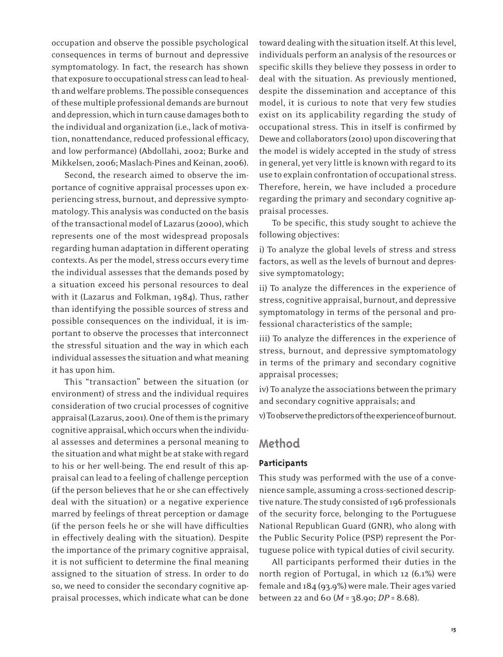occupation and observe the possible psychological consequences in terms of burnout and depressive symptomatology. In fact, the research has shown that exposure to occupational stress can lead to health and welfare problems. The possible consequences of these multiple professional demands are burnout and depression, which in turn cause damages both to the individual and organization (i.e., lack of motivation, nonattendance, reduced professional efficacy, and low performance) (Abdollahi, 2002; Burke and Mikkelsen, 2006; Maslach-Pines and Keinan, 2006).

Second, the research aimed to observe the importance of cognitive appraisal processes upon experiencing stress*,* burnout, and depressive symptomatology. This analysis was conducted on the basis of the transactional model of Lazarus (2000), which represents one of the most widespread proposals regarding human adaptation in different operating contexts. As per the model, stress occurs every time the individual assesses that the demands posed by a situation exceed his personal resources to deal with it (Lazarus and Folkman, 1984). Thus, rather than identifying the possible sources of stress and possible consequences on the individual, it is important to observe the processes that interconnect the stressful situation and the way in which each individual assesses the situation and what meaning it has upon him.

This "transaction" between the situation (or environment) of stress and the individual requires consideration of two crucial processes of cognitive appraisal (Lazarus, 2001). One of them is the primary cognitive appraisal, which occurs when the individual assesses and determines a personal meaning to the situation and what might be at stake with regard to his or her well-being. The end result of this appraisal can lead to a feeling of challenge perception (if the person believes that he or she can effectively deal with the situation) or a negative experience marred by feelings of threat perception or damage (if the person feels he or she will have difficulties in effectively dealing with the situation). Despite the importance of the primary cognitive appraisal, it is not sufficient to determine the final meaning assigned to the situation of stress. In order to do so, we need to consider the secondary cognitive appraisal processes, which indicate what can be done

toward dealing with the situation itself. At this level, individuals perform an analysis of the resources or specific skills they believe they possess in order to deal with the situation. As previously mentioned, despite the dissemination and acceptance of this model, it is curious to note that very few studies exist on its applicability regarding the study of occupational stress. This in itself is confirmed by Dewe and collaborators (2010) upon discovering that the model is widely accepted in the study of stress in general, yet very little is known with regard to its use to explain confrontation of occupational stress. Therefore, herein, we have included a procedure regarding the primary and secondary cognitive appraisal processes.

To be specific, this study sought to achieve the following objectives:

i) To analyze the global levels of stress and stress factors, as well as the levels of burnout and depressive symptomatology;

ii) To analyze the differences in the experience of stress, cognitive appraisal, burnout, and depressive symptomatology in terms of the personal and professional characteristics of the sample;

iii) To analyze the differences in the experience of stress, burnout, and depressive symptomatology in terms of the primary and secondary cognitive appraisal processes;

iv) To analyze the associations between the primary and secondary cognitive appraisals; and

v) To observe the predictors of the experience of burnout.

## **Method**

#### **Participants**

This study was performed with the use of a convenience sample, assuming a cross-sectioned descriptive nature. The study consisted of 196 professionals of the security force, belonging to the Portuguese National Republican Guard (GNR), who along with the Public Security Police (PSP) represent the Portuguese police with typical duties of civil security.

All participants performed their duties in the north region of Portugal, in which 12 (6.1%) were female and 184 (93.9%) were male. Their ages varied between 22 and 60 (*M* = 38.90; *DP* = 8.68).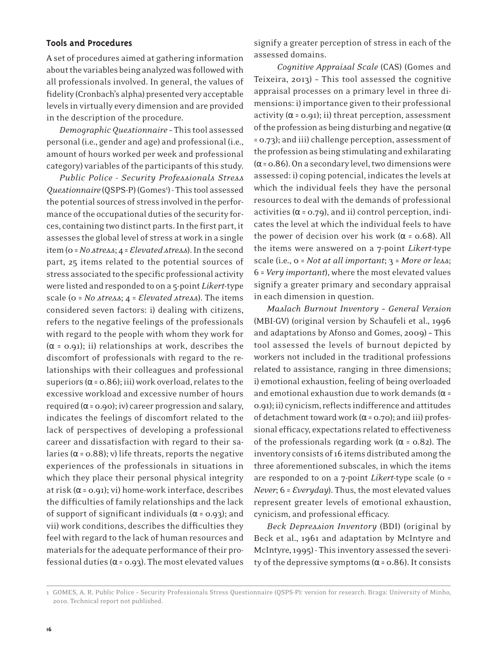#### **Tools and Procedures**

A set of procedures aimed at gathering information about the variables being analyzed was followed with all professionals involved. In general, the values of fidelity (Cronbach's alpha) presented very acceptable levels in virtually every dimension and are provided in the description of the procedure.

*Demographic Questionnaire –* This tool assessed personal (i.e., gender and age) and professional (i.e., amount of hours worked per week and professional category) variables of the participants of this study.

*Public Police - Security Professionals Stress*  Questionnaire (QSPS-P) (Gomes<sup>1</sup>) - This tool assessed the potential sources of stress involved in the performance of the occupational duties of the security forces, containing two distinct parts. In the first part, it assesses the global level of stress at work in a single item (0 = *No stress*; 4 = *Elevated stress*). In the second part, 25 items related to the potential sources of stress associated to the specific professional activity were listed and responded to on a 5-point *Likert*-type scale (0 = *No stress*; 4 = *Elevated stress*). The items considered seven factors: i) dealing with citizens, refers to the negative feelings of the professionals with regard to the people with whom they work for  $(\alpha = 0.91)$ ; ii) relationships at work, describes the discomfort of professionals with regard to the relationships with their colleagues and professional superiors ( $\alpha$  = 0.86); iii) work overload, relates to the excessive workload and excessive number of hours required  $(\alpha = 0.90)$ ; iv) career progression and salary, indicates the feelings of discomfort related to the lack of perspectives of developing a professional career and dissatisfaction with regard to their salaries ( $\alpha$  = 0.88); v) life threats, reports the negative experiences of the professionals in situations in which they place their personal physical integrity at risk  $(\alpha = 0.91)$ ; vi) home-work interface, describes the difficulties of family relationships and the lack of support of significant individuals  $(\alpha = 0.93)$ ; and vii) work conditions, describes the difficulties they feel with regard to the lack of human resources and materials for the adequate performance of their professional duties ( $\alpha$  = 0.93). The most elevated values

signify a greater perception of stress in each of the assessed domains.

 *Cognitive Appraisal Scale* (CAS) (Gomes and Teixeira, 2013) – This tool assessed the cognitive appraisal processes on a primary level in three dimensions: i) importance given to their professional activity  $(\alpha = 0.91)$ ; ii) threat perception, assessment of the profession as being disturbing and negative ( $\alpha$ = 0.73); and iii) challenge perception, assessment of the profession as being stimulating and exhilarating  $(\alpha = 0.86)$ . On a secondary level, two dimensions were assessed: i) coping potencial, indicates the levels at which the individual feels they have the personal resources to deal with the demands of professional activities  $(\alpha = 0.79)$ , and ii) control perception, indicates the level at which the individual feels to have the power of decision over his work  $(\alpha = 0.68)$ . All the items were answered on a 7-point *Likert-*type scale (i.e., 0 = *Not at all important*; 3 = *More or less*; 6 = *Very important*), where the most elevated values signify a greater primary and secondary appraisal in each dimension in question.

*Maslach Burnout Inventory – General Version*  (MBI-GV) (original version by Schaufeli et al., 1996 and adaptations by Afonso and Gomes, 2009) – This tool assessed the levels of burnout depicted by workers not included in the traditional professions related to assistance, ranging in three dimensions; i) emotional exhaustion, feeling of being overloaded and emotional exhaustion due to work demands ( $\alpha$  = 0.91); ii) cynicism, reflects indifference and attitudes of detachment toward work ( $\alpha$  = 0.70); and iii) professional efficacy, expectations related to effectiveness of the professionals regarding work  $(\alpha = 0.82)$ . The inventory consists of 16 items distributed among the three aforementioned subscales, in which the items are responded to on a 7-point *Likert*-type scale (0 = *Never*; 6 = *Everyday*). Thus, the most elevated values represent greater levels of emotional exhaustion, cynicism, and professional efficacy.

*Beck Depression Inventory* (BDI) (original by Beck et al., 1961 and adaptation by McIntyre and McIntyre, 1995) - This inventory assessed the severity of the depressive symptoms ( $\alpha$  = 0.86). It consists

<sup>1</sup> GOMES, A. R. Public Police – Security Professionals Stress Questionnaire (QSPS-P): version for research. Braga: University of Minho, 2010. Technical report not published.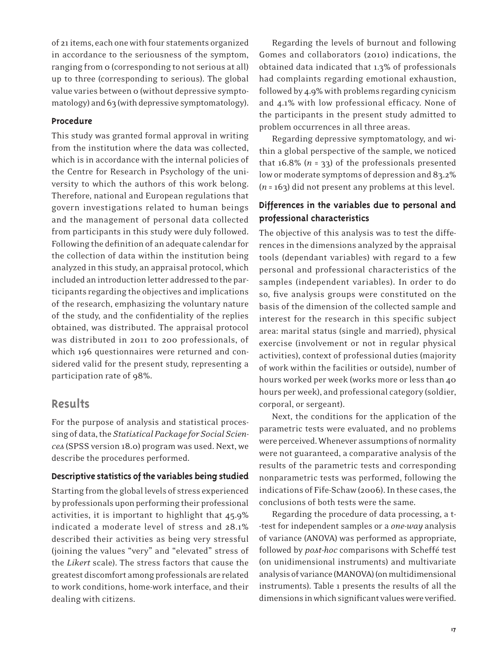of 21 items, each one with four statements organized in accordance to the seriousness of the symptom, ranging from 0 (corresponding to not serious at all) up to three (corresponding to serious). The global value varies between 0 (without depressive symptomatology) and 63 (with depressive symptomatology).

#### **Procedure**

This study was granted formal approval in writing from the institution where the data was collected, which is in accordance with the internal policies of the Centre for Research in Psychology of the university to which the authors of this work belong. Therefore, national and European regulations that govern investigations related to human beings and the management of personal data collected from participants in this study were duly followed. Following the definition of an adequate calendar for the collection of data within the institution being analyzed in this study, an appraisal protocol, which included an introduction letter addressed to the participants regarding the objectives and implications of the research, emphasizing the voluntary nature of the study, and the confidentiality of the replies obtained, was distributed. The appraisal protocol was distributed in 2011 to 200 professionals, of which 196 questionnaires were returned and considered valid for the present study, representing a participation rate of 98%.

## **Results**

For the purpose of analysis and statistical processing of data, the *Statistical Package for Social Sciences* (SPSS version 18.0) program was used. Next, we describe the procedures performed.

#### **Descriptive statistics of the variables being studied**

Starting from the global levels of stress experienced by professionals upon performing their professional activities, it is important to highlight that 45.9% indicated a moderate level of stress and 28.1% described their activities as being very stressful (joining the values "very" and "elevated" stress of the *Likert* scale). The stress factors that cause the greatest discomfort among professionals are related to work conditions, home-work interface, and their dealing with citizens.

Regarding the levels of burnout and following Gomes and collaborators (2010) indications, the obtained data indicated that 1.3% of professionals had complaints regarding emotional exhaustion, followed by 4.9% with problems regarding cynicism and 4.1% with low professional efficacy. None of the participants in the present study admitted to problem occurrences in all three areas.

Regarding depressive symptomatology, and within a global perspective of the sample, we noticed that  $16.8\%$  ( $n = 33$ ) of the professionals presented low or moderate symptoms of depression and 83.2% (*n* = 163) did not present any problems at this level.

## **Differences in the variables due to personal and professional characteristics**

The objective of this analysis was to test the differences in the dimensions analyzed by the appraisal tools (dependant variables) with regard to a few personal and professional characteristics of the samples (independent variables). In order to do so, five analysis groups were constituted on the basis of the dimension of the collected sample and interest for the research in this specific subject area: marital status (single and married), physical exercise (involvement or not in regular physical activities), context of professional duties (majority of work within the facilities or outside), number of hours worked per week (works more or less than 40 hours per week), and professional category (soldier, corporal, or sergeant).

Next, the conditions for the application of the parametric tests were evaluated, and no problems were perceived. Whenever assumptions of normality were not guaranteed, a comparative analysis of the results of the parametric tests and corresponding nonparametric tests was performed, following the indications of Fife-Schaw (2006). In these cases, the conclusions of both tests were the same.

Regarding the procedure of data processing, a t- -test for independent samples or a *one-way* analysis of variance (ANOVA) was performed as appropriate, followed by *post-hoc* comparisons with Scheffé test (on unidimensional instruments) and multivariate analysis of variance (MANOVA) (on multidimensional instruments). Table 1 presents the results of all the dimensions in which significant values were verified.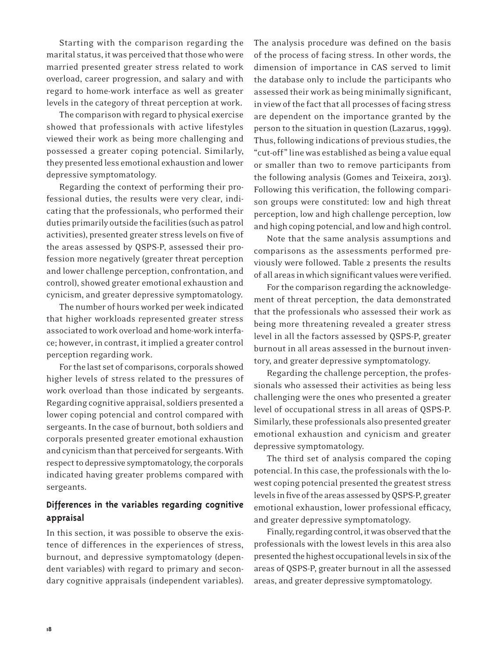Starting with the comparison regarding the marital status, it was perceived that those who were married presented greater stress related to work overload, career progression, and salary and with regard to home-work interface as well as greater levels in the category of threat perception at work.

The comparison with regard to physical exercise showed that professionals with active lifestyles viewed their work as being more challenging and possessed a greater coping potencial. Similarly, they presented less emotional exhaustion and lower depressive symptomatology.

Regarding the context of performing their professional duties, the results were very clear, indicating that the professionals, who performed their duties primarily outside the facilities (such as patrol activities), presented greater stress levels on five of the areas assessed by QSPS-P, assessed their profession more negatively (greater threat perception and lower challenge perception, confrontation, and control), showed greater emotional exhaustion and cynicism, and greater depressive symptomatology.

The number of hours worked per week indicated that higher workloads represented greater stress associated to work overload and home-work interface; however, in contrast, it implied a greater control perception regarding work.

For the last set of comparisons, corporals showed higher levels of stress related to the pressures of work overload than those indicated by sergeants. Regarding cognitive appraisal, soldiers presented a lower coping potencial and control compared with sergeants. In the case of burnout, both soldiers and corporals presented greater emotional exhaustion and cynicism than that perceived for sergeants. With respect to depressive symptomatology, the corporals indicated having greater problems compared with sergeants.

### **Differences in the variables regarding cognitive appraisal**

In this section, it was possible to observe the existence of differences in the experiences of stress, burnout, and depressive symptomatology (dependent variables) with regard to primary and secondary cognitive appraisals (independent variables).

The analysis procedure was defined on the basis of the process of facing stress. In other words, the dimension of importance in CAS served to limit the database only to include the participants who assessed their work as being minimally significant, in view of the fact that all processes of facing stress are dependent on the importance granted by the person to the situation in question (Lazarus, 1999). Thus, following indications of previous studies, the "cut-off" line was established as being a value equal or smaller than two to remove participants from the following analysis (Gomes and Teixeira, 2013). Following this verification, the following comparison groups were constituted: low and high threat perception, low and high challenge perception, low and high coping potencial, and low and high control.

Note that the same analysis assumptions and comparisons as the assessments performed previously were followed. Table 2 presents the results of all areas in which significant values were verified.

For the comparison regarding the acknowledgement of threat perception, the data demonstrated that the professionals who assessed their work as being more threatening revealed a greater stress level in all the factors assessed by QSPS-P, greater burnout in all areas assessed in the burnout inventory, and greater depressive symptomatology.

Regarding the challenge perception, the professionals who assessed their activities as being less challenging were the ones who presented a greater level of occupational stress in all areas of QSPS-P. Similarly, these professionals also presented greater emotional exhaustion and cynicism and greater depressive symptomatology.

The third set of analysis compared the coping potencial. In this case, the professionals with the lowest coping potencial presented the greatest stress levels in five of the areas assessed by QSPS-P, greater emotional exhaustion, lower professional efficacy, and greater depressive symptomatology.

Finally, regarding control, it was observed that the professionals with the lowest levels in this area also presented the highest occupational levels in six of the areas of QSPS-P, greater burnout in all the assessed areas, and greater depressive symptomatology.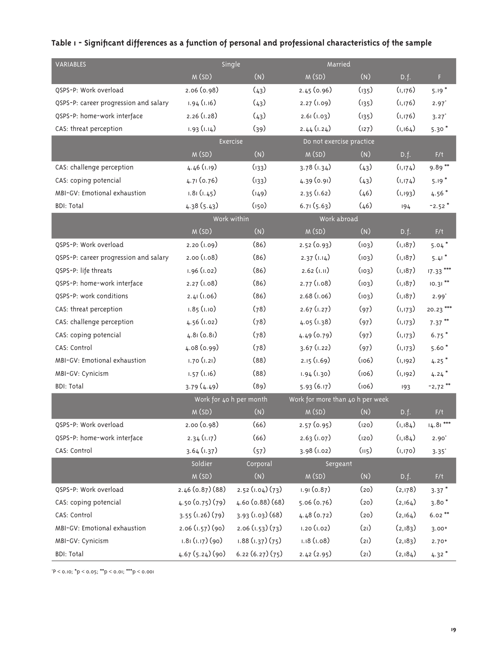## **Table 1 - Significant differences as a function of personal and professional characteristics of the sample**

| VARIABLES                                                   | Single             |                  | Married                  |                   |         |                     |
|-------------------------------------------------------------|--------------------|------------------|--------------------------|-------------------|---------|---------------------|
|                                                             | M(SD)              | (N)              | M(SD)                    | (N)               | D.f.    | F.                  |
| OSPS-P: Work overload                                       | 2.06(0.98)         | (43)             | 2.45(0.96)               | (135)             | (1,176) | $5.19*$             |
| QSPS-P: career progression and salary                       | $1.94$ (1.16)      | (43)             | 2.27(1.09)               | (135)             | (1,176) | $2.97$ <sup>+</sup> |
| QSPS-P: home-work interface                                 | 2.26(1.28)         | (43)             | 2.61(1.03)               | (135)             | (1,176) | $3.27$ <sup>+</sup> |
| CAS: threat perception                                      | 1.93(1.14)         | (39)             | 2.44(1.24)               | (127)             | (1,164) | $5.30*$             |
|                                                             | <b>Exercise</b>    |                  | Do not exercise practice |                   |         |                     |
|                                                             | M(SD)              | (N)              | M(SD)                    | (N)               | D.f.    | F/t                 |
| CAS: challenge perception                                   | 4.46(1.19)         | (133)            | 3.78(1.34)               | (43)              | (1,174) | $9.89***$           |
| CAS: coping potencial                                       | 4.71(0.76)         | (133)            | 4.39(0.91)               | (43)              | (1,174) | $5.19*$             |
| MBI-GV: Emotional exhaustion                                | 1.81(1.45)         | (149)            | 2.35(1.62)               | (46)              | (1,193) | $4.56*$             |
| <b>BDI: Total</b>                                           | 4.38 (5.43)        | (150)            | 6.71(5.63)               | (46)              | 194     | $-2.52*$            |
|                                                             | Work within        |                  | Work abroad              |                   |         |                     |
|                                                             | M(SD)              | (N)              | M(SD)                    | (N)               | D.f.    | F/t                 |
| QSPS-P: Work overload                                       | 2.20(1.09)         | (86)             | 2.52 (0.93)              | (103)             | (1,187) | $5.04*$             |
| QSPS-P: career progression and salary                       | 2.00(1.08)         | (86)             | 2.37(1.14)               | (103)             | (1,187) | $5.41*$             |
| QSPS-P: life threats                                        | 1.96(1.02)         | (86)             | $2.62$ (1.11)            | (103)             | (1,187) | 17.33 ***           |
| QSPS-P: home-work interface                                 | 2.27(1.08)         | (86)             | 2.77(1.08)               | (103)             | (1,187) | $10.31***$          |
| QSPS-P: work conditions                                     | 2.41(1.06)         | (86)             | $2.68$ ( $1.06$ )        | (103)             | (1,187) | $2.99^{+}$          |
| CAS: threat perception                                      | $1.85$ ( $1.10$ )  | (78)             | 2.67(1.27)               | (97)              | (1,173) | $20.23***$          |
| CAS: challenge perception                                   | 4.56(1.02)         | (78)             | 4.05(1.38)               | (97)              | (1,173) | $7.37***$           |
| CAS: coping potencial                                       | 4.81(0.81)         | (78)             | 4.49(0.79)               | (97)              | (1,173) | $6.75*$             |
| CAS: Control                                                | 4.08(0.99)         | (78)             | $3.67$ (1.22)            | (97)              | (1,173) | $5.60*$             |
| MBI-GV: Emotional exhaustion                                | 1.70(1.21)         | (88)             | 2.15(1.69)               | (106)             | (1,192) | $4.25$ *            |
| MBI-GV: Cynicism                                            | $1.57$ ( $1.16$ )  | (88)             | 1.94(1.30)               | (106)             | (1,192) | $4.24$ *            |
| <b>BDI: Total</b>                                           | 3.79(4.49)         | (89)             | 5.93(6.17)               | (106)             | 193     | $-2,72$ **          |
| Work for 40 h per month<br>Work for more than 40 h per week |                    |                  |                          |                   |         |                     |
|                                                             | M(SD)              | (N)              | M(SD)                    | (N)               | D.f.    | F/t                 |
| QSPS-P: Work overload                                       | 2.00 (0.98)        | (66)             | 2.57(0.95)               | (120)             | (1,184) | $14.81***$          |
| QSPS-P: home-work interface                                 | $2.34$ (1.17)      | (66)             | 2.63(1.07)               | (120)             | (1,184) | $2.90+$             |
| CAS: Control                                                | $3.64$ (1.37)      | (57)             | 3.98(1.02)               | (n <sub>5</sub> ) | (1,170) | $3.35^{+}$          |
|                                                             | Soldier            | Corporal         | Sergeant                 |                   |         |                     |
|                                                             | M(SD)              | (N)              | M(SD)                    | (N)               | D.f.    | F/t                 |
| QSPS-P: Work overload                                       | 2.46 (0.87) (88)   | 2.52(1.04)(73)   | 1.91(0.87)               | (20)              | (2,178) | $3.37$ *            |
| CAS: coping potencial                                       | 4.50 (0.75) (79)   | 4.60 (0.88) (68) | 5.06 (0.76)              | (20)              | (2,164) | $3.80*$             |
| CAS: Control                                                | $3.55$ (1.26) (79) | 3.93(1.03)(68)   | 4.48 (0.72)              | (20)              | (2,164) | $6.02***$           |
| MBI-GV: Emotional exhaustion                                | 2.06 (1.57) (90)   | 2.06(1.53)(73)   | 1.20(1.02)               | (21)              | (2,183) | $3.00+$             |
| MBI-GV: Cynicism                                            | 1.81(1.17)(90)     | 1.88(1.37)(75)   | 1.18(1.08)               | (21)              | (2,183) | $2.70+$             |
| <b>BDI: Total</b>                                           | 4.67(5.24)(90)     | 6.22(6.27)(75)   | 2.42(2.95)               | (21)              | (2,184) | $4.32*$             |

+ P < 0.10; \*p < 0.05; \*\*p < 0.01; \*\*\*p < 0.001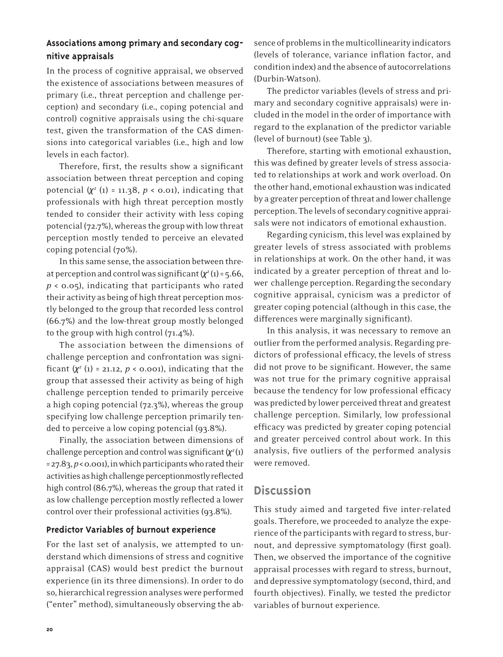## **Associations among primary and secondary cognitive appraisals**

In the process of cognitive appraisal, we observed the existence of associations between measures of primary (i.e., threat perception and challenge perception) and secondary (i.e., coping potencial and control) cognitive appraisals using the chi-square test, given the transformation of the CAS dimensions into categorical variables (i.e., high and low levels in each factor).

Therefore, first, the results show a significant association between threat perception and coping potencial  $(\chi^2)$  (1) = 11.38,  $p <$  0.01), indicating that professionals with high threat perception mostly tended to consider their activity with less coping potencial (72.7%), whereas the group with low threat perception mostly tended to perceive an elevated coping potencial (70%).

In this same sense, the association between threat perception and control was significant  $(\chi^2(1) = 5.66,$ *p* < 0.05), indicating that participants who rated their activity as being of high threat perception mostly belonged to the group that recorded less control (66.7%) and the low-threat group mostly belonged to the group with high control (71.4%).

The association between the dimensions of challenge perception and confrontation was significant  $(\chi^2)$  (1) = 21.12,  $p <$  0.001), indicating that the group that assessed their activity as being of high challenge perception tended to primarily perceive a high coping potencial (72.3%), whereas the group specifying low challenge perception primarily tended to perceive a low coping potencial (93.8%).

Finally, the association between dimensions of challenge perception and control was significant (*χ<sup>2</sup>* (1) = 27.83, *p* < 0.001), in which participants who rated their activities as high challenge perceptionmostly reflected high control (86.7%), whereas the group that rated it as low challenge perception mostly reflected a lower control over their professional activities (93.8%).

#### **Predictor Variables of burnout experience**

For the last set of analysis, we attempted to understand which dimensions of stress and cognitive appraisal (CAS) would best predict the burnout experience (in its three dimensions). In order to do so, hierarchical regression analyses were performed ("enter" method), simultaneously observing the ab-

sence of problems in the multicollinearity indicators (levels of tolerance, variance inflation factor, and condition index) and the absence of autocorrelations (Durbin-Watson).

The predictor variables (levels of stress and primary and secondary cognitive appraisals) were included in the model in the order of importance with regard to the explanation of the predictor variable (level of burnout) (see Table 3).

Therefore, starting with emotional exhaustion, this was defined by greater levels of stress associated to relationships at work and work overload. On the other hand, emotional exhaustion was indicated by a greater perception of threat and lower challenge perception. The levels of secondary cognitive appraisals were not indicators of emotional exhaustion.

Regarding cynicism, this level was explained by greater levels of stress associated with problems in relationships at work. On the other hand, it was indicated by a greater perception of threat and lower challenge perception. Regarding the secondary cognitive appraisal, cynicism was a predictor of greater coping potencial (although in this case, the differences were marginally significant).

In this analysis, it was necessary to remove an outlier from the performed analysis. Regarding predictors of professional efficacy, the levels of stress did not prove to be significant. However, the same was not true for the primary cognitive appraisal because the tendency for low professional efficacy was predicted by lower perceived threat and greatest challenge perception. Similarly, low professional efficacy was predicted by greater coping potencial and greater perceived control about work. In this analysis, five outliers of the performed analysis were removed.

## **Discussion**

This study aimed and targeted five inter-related goals. Therefore, we proceeded to analyze the experience of the participants with regard to stress, burnout, and depressive symptomatology (first goal). Then, we observed the importance of the cognitive appraisal processes with regard to stress, burnout, and depressive symptomatology (second, third, and fourth objectives). Finally, we tested the predictor variables of burnout experience.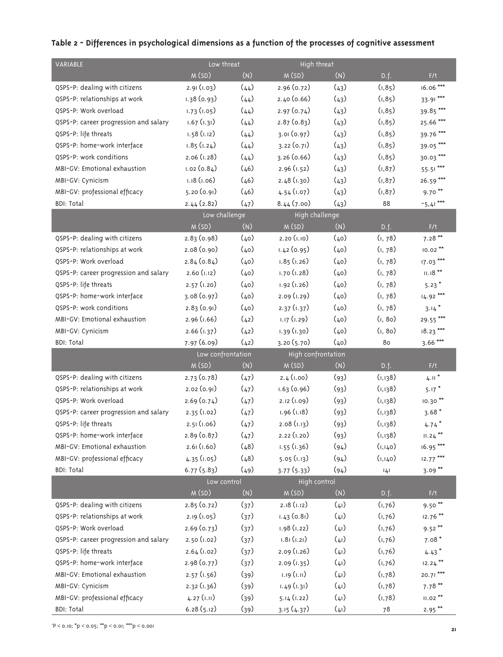## **Table 2 - Differences in psychological dimensions as a function of the processes of cognitive assessment**

| VARIABLE                              | Low threat<br>High threat   |      |                    |      |         |                        |  |
|---------------------------------------|-----------------------------|------|--------------------|------|---------|------------------------|--|
|                                       | M(SD)                       | (N)  | M(SD)              | (N)  | D.f.    | F/t                    |  |
| QSPS-P: dealing with citizens         | 2.91(1.03)                  | (44) | 2.96(0.72)         | (43) | (1, 85) | 16.06 ***              |  |
| QSPS-P: relationships at work         | 1.38(0.93)                  | (44) | 2.40(0.66)         | (43) | (1, 85) | 33.91***               |  |
| QSPS-P: Work overload                 | 1.73(1.05)                  | (44) | 2.97(0.74)         | (43) | (1, 85) | 39.85***               |  |
| QSPS-P: career progression and salary | 1.67(1.31)                  | (44) | 2.87(0.83)         | (43) | (1, 85) | 25.66 ***              |  |
| QSPS-P: life threats                  | 1.58(1.12)                  | (44) | 3.01(0.97)         | (43) | (1, 85) | 39.76 ***              |  |
| QSPS-P: home-work interface           | 1.85(1.24)                  | (44) | 3.22(0.71)         | (43) | (1, 85) | 39.05 ***              |  |
| QSPS-P: work conditions               | 2.06(1.28)                  | (44) | 3.26(0.66)         | (43) | (1, 85) | $30.03***$             |  |
| MBI-GV: Emotional exhaustion          | 1.02(0.84)                  | (46) | 2.96(1.52)         | (43) | (1, 87) | $55.51***$             |  |
| MBI-GV: Cynicism                      | 1.18(1.06)                  | (46) | 2.48(1.30)         | (43) | (1, 87) | 26.59 ***              |  |
| MBI-GV: professional efficacy         | 5.20(0.91)                  | (46) | $4.54$ (1.07)      | (43) | (1, 87) | $9.70***$              |  |
| <b>BDI: Total</b>                     | 2.44(2.82)                  | (47) | 8.44(7.00)         | (43) | 88      | $-5,41***$             |  |
|                                       | Low challenge               |      | High challenge     |      |         |                        |  |
|                                       | M(SD)                       | (N)  | M(SD)              | (N)  | D.f.    | F/t                    |  |
| QSPS-P: dealing with citizens         | 2.83(0.98)                  | (40) | 2.20(1.10)         | (40) | (1, 78) | $7.28$ **              |  |
| QSPS-P: relationships at work         | 2.08(0.90)                  | (40) | 1.42(0.95)         | (40) | (1, 78) | $10.02$ **             |  |
| QSPS-P: Work overload                 | 2.84(0.84)                  | (40) | 1.85(1.26)         | (40) | (1, 78) | $17.03***$             |  |
| QSPS-P: career progression and salary | 2.60(1.12)                  | (40) | 1.70 (1.28)        | (40) | (1, 78) | $11.18***$             |  |
| QSPS-P: life threats                  | 2.57(1.20)                  | (40) | 1.92(1.26)         | (40) | (1, 78) | $5.23*$                |  |
| QSPS-P: home-work interface           | 3.08(0.97)                  | (40) | 2.09(1.29)         | (40) | (1, 78) | $14.92***$             |  |
| QSPS-P: work conditions               | 2.83(0.91)                  | (40) | 2.37(1.37)         | (40) | (1, 78) | $3.14$ *               |  |
| MBI-GV: Emotional exhaustion          | 2.96(1.66)                  | (42) | 1.17(1.29)         | (40) | (1, 80) | 29.55 ***              |  |
| MBI-GV: Cynicism                      | 2.66(1.37)                  | (42) | 1.39(1.30)         | (40) | (1, 80) | $18.23***$             |  |
| <b>BDI: Total</b>                     | 7.97(6.09)                  | (42) | 3.20(5.70)         | (40) | 80      | $3.66***$              |  |
|                                       | Low confrontation           |      | High confrontation |      |         |                        |  |
|                                       | M(SD)                       | (N)  | M(SD)              | (N)  | D.f.    | F/t                    |  |
| QSPS-P: dealing with citizens         | 2.73 (0.78)                 | (47) | 2.4(1.00)          | (93) | (1,138) | $4.11*$                |  |
| QSPS-P: relationships at work         | 2.02(0.91)                  | (47) | 1.63(0.96)         | (93) | (1,138) | $5.17*$                |  |
| QSPS-P: Work overload                 | 2.69(0.74)                  | (47) | 2.12(1.09)         | (93) | (1,138) | $10.30***$             |  |
| QSPS-P: career progression and salary | 2.35(1.02)                  | (47) | 1.96(1.18)         | (93) | (1,138) | $3.68*$                |  |
| QSPS-P: life threats                  | 2.51(1.06)                  | (47) | 2.08(1.13)         | (93) | (1,138) | $4.74$ *               |  |
| QSPS-P: home-work interface           | 2.89(0.87)                  | (47) | 2.22(1.20)         | (93) | (1,138) | $11.24$ <sup>**</sup>  |  |
| MBI-GV: Emotional exhaustion          | 2.61(1.60)                  | (48) | 1.55(1.36)         | (94) | (1,140) | $16.95***$             |  |
| MBI-GV: professional efficacy         | 4.35 (1.05)                 | (48) | 5.05(1.13)         | (94) | (1,140) | $12.77$ <sup>***</sup> |  |
| <b>BDI: Total</b>                     | 6.77(5.83)                  | (49) | 3.77(5.33)         | (94) | 4       | $3.09***$              |  |
|                                       | Low control<br>High control |      |                    |      |         |                        |  |
|                                       | M(SD)                       | (N)  | M(SD)              | (N)  | D.f.    | F/t                    |  |
| QSPS-P: dealing with citizens         | 2.85(0.72)                  | (37) | 2.18(1.12)         | (41) | (1,76)  | $9.50***$              |  |
| QSPS-P: relationships at work         | 2.19(1.05)                  | (37) | 1.43(0.81)         | (41) | (1,76)  | $12.76$ **             |  |
| QSPS-P: Work overload                 | 2.69(0.73)                  | (37) | 1.98(1.22)         | (41) | (1,76)  | $9.52***$              |  |
| QSPS-P: career progression and salary | 2.50(1.02)                  | (37) | 1.81(1.21)         | (41) | (1,76)  | $7.08*$                |  |
| QSPS-P: life threats                  | $2.64$ (1.02)               | (37) | 2.09 (1.26)        | (41) | (1,76)  | $4.43*$                |  |
| QSPS-P: home-work interface           | 2.98 (0.77)                 | (37) | 2.09(1.35)         | (41) | (1,76)  | $12.24$ **             |  |
| MBI-GV: Emotional exhaustion          | 2.57(1.56)                  | (39) | $1.19$ ( $1.11$ )  | (41) | (1,78)  | $20.71***$             |  |
| MBI-GV: Cynicism                      | 2.32(1.36)                  | (39) | 1.49(1.31)         | (41) | (1,78)  | $7.78***$              |  |
| MBI-GV: professional efficacy         | $4.27$ (1.11)               | (39) | $5.14$ (1.22)      | (41) | (1,78)  | $II.02$ **             |  |
| <b>BDI: Total</b>                     | 6.28(5.12)                  | (39) | 3.15(4.37)         | (41) | 78      | $2.95***$              |  |

+ P < 0.10; \*p < 0.05; \*\*p < 0.01; \*\*\*p < 0.001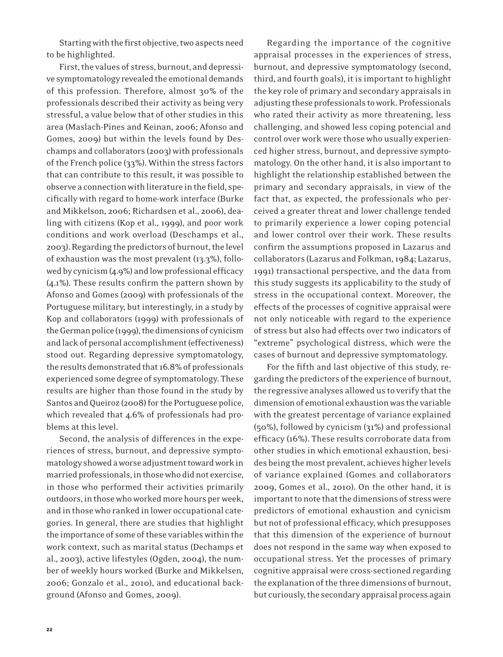Starting with the first objective, two aspects need to be highlighted.

First, the values of stress, burnout, and depressive symptomatology revealed the emotional demands of this profession. Therefore, almost 30% of the professionals described their activity as being very stressful, a value below that of other studies in this area (Maslach-Pines and Keinan, 2006; Afonso and Gomes, 2009) but within the levels found by Deschamps and collaborators (2003) with professionals of the French police (33%). Within the stress factors that can contribute to this result, it was possible to observe a connection with literature in the field, specifically with regard to home-work interface (Burke and Mikkelson, 2006; Richardsen et al., 2006), dealing with citizens (Kop et al., 1999), and poor work conditions and work overload (Deschamps et al., 2003). Regarding the predictors of burnout, the level of exhaustion was the most prevalent (13.3%), followed by cynicism (4.9%) and low professional efficacy (4.1%). These results confirm the pattern shown by Afonso and Gomes (2009) with professionals of the Portuguese military, but interestingly, in a study by Kop and collaborators (1999) with professionals of the German police (1999), the dimensions of cynicism and lack of personal accomplishment (effectiveness) stood out. Regarding depressive symptomatology, the results demonstrated that 16.8% of professionals experienced some degree of symptomatology. These results are higher than those found in the study by Santos and Queiroz (2008) for the Portuguese police, which revealed that 4.6% of professionals had problems at this level.

Second, the analysis of differences in the experiences of stress, burnout, and depressive symptomatology showed a worse adjustment toward work in married professionals, in those who did not exercise, in those who performed their activities primarily outdoors, in those who worked more hours per week, and in those who ranked in lower occupational categories. In general, there are studies that highlight the importance of some of these variables within the work context, such as marital status (Dechamps et al., 2003), active lifestyles (Ogden, 2004), the number of weekly hours worked (Burke and Mikkelsen, 2006; Gonzalo et al., 2010), and educational background (Afonso and Gomes, 2009).

Regarding the importance of the cognitive appraisal processes in the experiences of stress, burnout, and depressive symptomatology (second, third, and fourth goals), it is important to highlight the key role of primary and secondary appraisals in adjusting these professionals to work. Professionals who rated their activity as more threatening, less challenging, and showed less coping potencial and control over work were those who usually experienced higher stress, burnout, and depressive symptomatology. On the other hand, it is also important to highlight the relationship established between the primary and secondary appraisals, in view of the fact that, as expected, the professionals who perceived a greater threat and lower challenge tended to primarily experience a lower coping potencial and lower control over their work. These results confirm the assumptions proposed in Lazarus and collaborators (Lazarus and Folkman, 1984; Lazarus, 1991) transactional perspective, and the data from this study suggests its applicability to the study of stress in the occupational context. Moreover, the effects of the processes of cognitive appraisal were not only noticeable with regard to the experience of stress but also had effects over two indicators of "extreme" psychological distress, which were the cases of burnout and depressive symptomatology.

For the fifth and last objective of this study, regarding the predictors of the experience of burnout, the regressive analyses allowed us to verify that the dimension of emotional exhaustion was the variable with the greatest percentage of variance explained (50%), followed by cynicism (31%) and professional efficacy (16%). These results corroborate data from other studies in which emotional exhaustion, besides being the most prevalent, achieves higher levels of variance explained (Gomes and collaborators 2009, Gomes et al., 2010). On the other hand, it is important to note that the dimensions of stress were predictors of emotional exhaustion and cynicism but not of professional efficacy, which presupposes that this dimension of the experience of burnout does not respond in the same way when exposed to occupational stress. Yet the processes of primary cognitive appraisal were cross-sectioned regarding the explanation of the three dimensions of burnout, but curiously, the secondary appraisal process again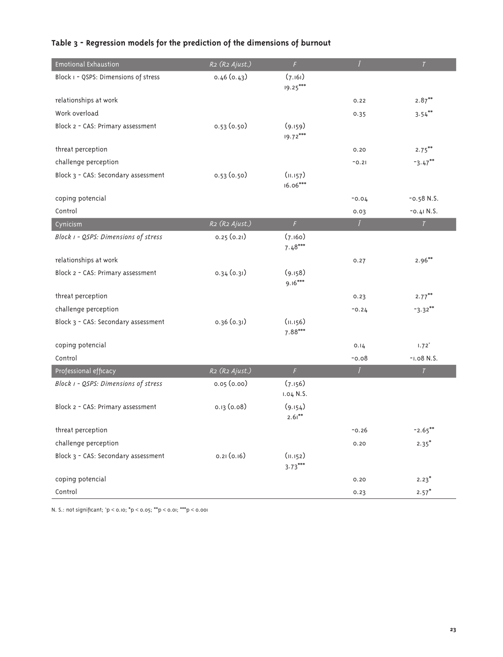## **Table 3 - Regression models for the prediction of the dimensions of burnout**

| <b>Emotional Exhaustion</b>             | R <sub>2</sub> (R <sub>2</sub> Ajust.) | $\bar{F}$              | Î         | $\cal T$       |
|-----------------------------------------|----------------------------------------|------------------------|-----------|----------------|
| Block I - QSPS: Dimensions of stress    | 0.46(0.43)                             | (7.161)<br>$19.25***$  |           |                |
| relationships at work                   |                                        |                        | 0.22      | $2.87***$      |
| Work overload                           |                                        |                        | 0.35      | $3.54***$      |
| Block 2 - CAS: Primary assessment       | 0.53(0.50)                             | (9.159)<br>$19.72***$  |           |                |
| threat perception                       |                                        |                        | 0.20      | $2.75***$      |
| challenge perception                    |                                        |                        | $-0.21$   | $-3.47***$     |
| Block 3 - CAS: Secondary assessment     | 0.53(0.50)                             | (11.157)<br>$16.06***$ |           |                |
| coping potencial                        |                                        |                        | $-0.04$   | $-0.58$ N.S.   |
| Control                                 |                                        |                        | 0.03      | $-0.41$ N.S.   |
| Cynicism                                | R <sub>2</sub> (R <sub>2</sub> Ajust.) | $\bar{F}$              | $\hat{I}$ | $\overline{I}$ |
| Block $I - QSPS$ : Dimensions of stress | 0.25(0.21)                             | (7.160)<br>$7.48***$   |           |                |
| relationships at work                   |                                        |                        | 0.27      | $2.96***$      |
| Block 2 - CAS: Primary assessment       | 0.34(0.31)                             | (9.158)<br>$9.16***$   |           |                |
| threat perception                       |                                        |                        | 0.23      | $2.77***$      |
| challenge perception                    |                                        |                        | $-0.24$   | $-3.32***$     |
| Block 3 - CAS: Secondary assessment     | 0.36(0.31)                             | (11.156)<br>$7.88***$  |           |                |
| coping potencial                        |                                        |                        | 0.14      | $1.72^{+}$     |
| Control                                 |                                        |                        | $-0.08$   | $-1.08$ N.S.   |
| Professional efficacy                   | R <sub>2</sub> (R <sub>2</sub> Ajust.) | $\overline{F}$         | Î         | $\overline{I}$ |
| Block $I - QSPS$ : Dimensions of stress | 0.05(0.00)                             | (7.156)<br>1.04 N.S.   |           |                |
| Block 2 - CAS: Primary assessment       | 0.13(0.08)                             | (9.154)<br>$2.61***$   |           |                |
| threat perception                       |                                        |                        | $-0.26$   | $-2.65***$     |
| challenge perception                    |                                        |                        | 0.20      | $2.35*$        |
| Block 3 - CAS: Secondary assessment     | 0.21(0.16)                             | (11.152)<br>$3.73***$  |           |                |
| coping potencial                        |                                        |                        | 0.20      | $2.23*$        |
| Control                                 |                                        |                        | 0.23      | $2.57*$        |

N. S.: not significant; + p < 0.10; \*p < 0.05; \*\*p < 0.01; \*\*\*p < 0.001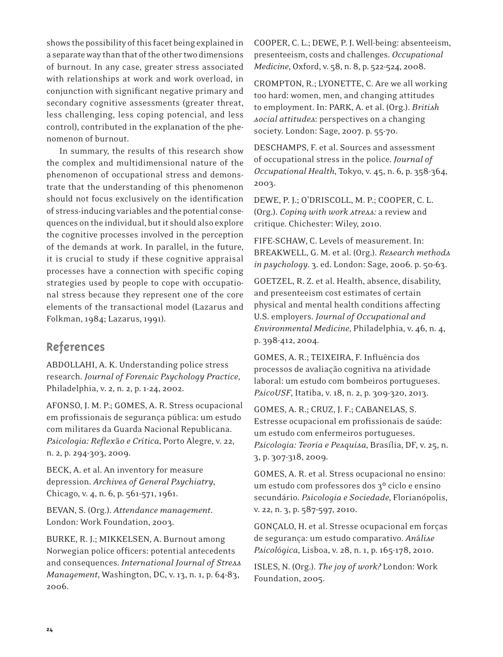shows the possibility of this facet being explained in a separate way than that of the other two dimensions of burnout. In any case, greater stress associated with relationships at work and work overload, in conjunction with significant negative primary and secondary cognitive assessments (greater threat, less challenging, less coping potencial, and less control), contributed in the explanation of the phenomenon of burnout.

In summary, the results of this research show the complex and multidimensional nature of the phenomenon of occupational stress and demonstrate that the understanding of this phenomenon should not focus exclusively on the identification of stress-inducing variables and the potential consequences on the individual, but it should also explore the cognitive processes involved in the perception of the demands at work. In parallel, in the future, it is crucial to study if these cognitive appraisal processes have a connection with specific coping strategies used by people to cope with occupational stress because they represent one of the core elements of the transactional model (Lazarus and Folkman, 1984; Lazarus, 1991).

## **References**

ABDOLLAHI, A. K. Understanding police stress research. *Journal of Forensic Psychology Practice*, Philadelphia, v. 2, n. 2, p. 1-24, 2002.

AFONSO, J. M. P.; GOMES, A. R. Stress ocupacional em profissionais de segurança pública: um estudo com militares da Guarda Nacional Republicana. *Psicologia: Reflex*ã*o e Cr*í*tica*, Porto Alegre, v. 22, n. 2, p. 294-303, 2009.

BECK, A. et al. An inventory for measure depression. *Archives of General Psychiatry*, Chicago, v. 4, n. 6, p. 561-571, 1961.

BEVAN, S. (Org.). *Attendance management*. London: Work Foundation, 2003.

BURKE, R. J.; MIKKELSEN, A. Burnout among Norwegian police officers: potential antecedents and consequences*. International Journal of Stress Management*, Washington, DC, v. 13, n. 1, p. 64-83, 2006.

COOPER, C. L.; DEWE, P. J. Well-being: absenteeism, presenteeism, costs and challenges. *Occupational Medicine*, Oxford, v. 58, n. 8, p. 522-524, 2008.

CROMPTON, R.; LYONETTE, C. Are we all working too hard: women, men, and changing attitudes to employment. In: PARK, A. et al. (Org.). *British social attitudes*: perspectives on a changing society. London: Sage, 2007. p. 55-70.

DESCHAMPS, F. et al. Sources and assessment of occupational stress in the police. *Journal of Occupational Health*, Tokyo, v. 45, n. 6, p. 358-364, 2003.

DEWE, P. J.; O'DRISCOLL, M. P.; COOPER, C. L. (Org.). *Coping with work stress:* a review and critique. Chichester: Wiley, 2010.

FIFE-SCHAW, C. Levels of measurement. In: BREAKWELL, G. M. et al. (Org.). *Research methods in psychology*. 3. ed. London: Sage, 2006. p. 50-63.

GOETZEL, R. Z. et al. Health, absence, disability, and presenteeism cost estimates of certain physical and mental health conditions affecting U.S. employers. *Journal of Occupational and Environmental Medicine*, Philadelphia, v. 46, n. 4, p. 398-412, 2004.

GOMES, A. R.; TEIXEIRA, F. Influência dos processos de avaliação cognitiva na atividade laboral: um estudo com bombeiros portugueses. *PsicoUSF*, Itatiba, v. 18, n. 2, p. 309-320, 2013.

GOMES, A. R.; CRUZ, J. F.; CABANELAS, S. Estresse ocupacional em profissionais de saúde: um estudo com enfermeiros portugueses. *Psicologia: Teoria e Pesquisa*, Brasília, DF, v. 25, n. 3, p. 307-318, 2009.

GOMES, A. R. et al. Stress ocupacional no ensino: um estudo com professores dos 3º ciclo e ensino secundário. *Psicologia e Sociedade*, Florianópolis, v. 22, n. 3, p. 587-597, 2010.

GONÇALO, H. et al. Stresse ocupacional em forças de segurança: um estudo comparativo. *An*á*lise Psicol*ó*gica*, Lisboa, v. 28, n. 1, p. 165-178, 2010.

ISLES, N. (Org.). *The joy of work?* London: Work Foundation, 2005.